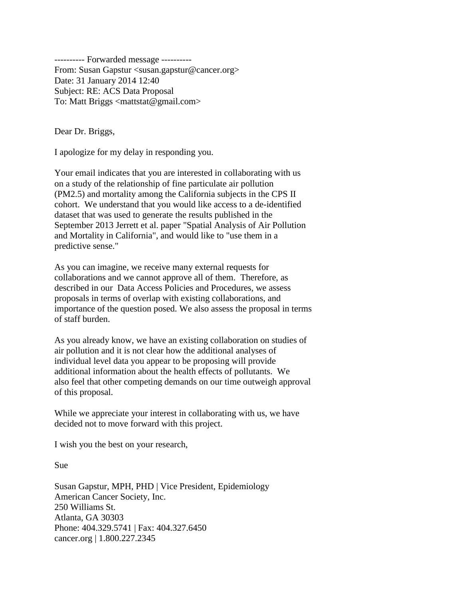---------- Forwarded message ---------- From: Susan Gapstur <susan.gapstur@cancer.org> Date: 31 January 2014 12:40 Subject: RE: ACS Data Proposal To: Matt Briggs <mattstat@gmail.com>

Dear Dr. Briggs,

I apologize for my delay in responding you.

Your email indicates that you are interested in collaborating with us on a study of the relationship of fine particulate air pollution (PM2.5) and mortality among the California subjects in the CPS II cohort. We understand that you would like access to a de-identified dataset that was used to generate the results published in the September 2013 Jerrett et al. paper "Spatial Analysis of Air Pollution and Mortality in California", and would like to "use them in a predictive sense."

As you can imagine, we receive many external requests for collaborations and we cannot approve all of them. Therefore, as described in our Data Access Policies and Procedures, we assess proposals in terms of overlap with existing collaborations, and importance of the question posed. We also assess the proposal in terms of staff burden.

As you already know, we have an existing collaboration on studies of air pollution and it is not clear how the additional analyses of individual level data you appear to be proposing will provide additional information about the health effects of pollutants. We also feel that other competing demands on our time outweigh approval of this proposal.

While we appreciate your interest in collaborating with us, we have decided not to move forward with this project.

I wish you the best on your research,

Sue

Susan Gapstur, MPH, PHD | Vice President, Epidemiology American Cancer Society, Inc. 250 Williams St. Atlanta, GA 30303 Phone: 404.329.5741 | Fax: 404.327.6450 cancer.org | 1.800.227.2345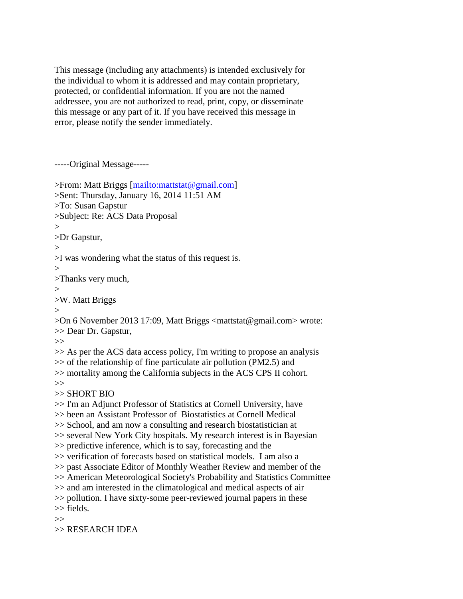This message (including any attachments) is intended exclusively for the individual to whom it is addressed and may contain proprietary, protected, or confidential information. If you are not the named addressee, you are not authorized to read, print, copy, or disseminate this message or any part of it. If you have received this message in error, please notify the sender immediately.

-----Original Message-----

| >From: Matt Briggs [mailto:mattstat@gmail.com]<br>>Sent: Thursday, January 16, 2014 11:51 AM<br>>To: Susan Gapstur<br>>Subject: Re: ACS Data Proposal<br>>                                                                                       |
|--------------------------------------------------------------------------------------------------------------------------------------------------------------------------------------------------------------------------------------------------|
| >Dr Gapstur,                                                                                                                                                                                                                                     |
| $\gt$                                                                                                                                                                                                                                            |
| >I was wondering what the status of this request is.                                                                                                                                                                                             |
| >                                                                                                                                                                                                                                                |
| >Thanks very much,                                                                                                                                                                                                                               |
| >                                                                                                                                                                                                                                                |
| >W. Matt Briggs                                                                                                                                                                                                                                  |
| $\rm{>}$                                                                                                                                                                                                                                         |
| >On 6 November 2013 17:09, Matt Briggs <mattstat@gmail.com> wrote:<br/>&gt;&gt; Dear Dr. Gapstur,</mattstat@gmail.com>                                                                                                                           |
| >>                                                                                                                                                                                                                                               |
| >> As per the ACS data access policy, I'm writing to propose an analysis<br>>> of the relationship of fine particulate air pollution (PM2.5) and<br>>> mortality among the California subjects in the ACS CPS II cohort.<br>>><br>$>>$ SHORT BIO |
| >> I'm an Adjunct Professor of Statistics at Cornell University, have                                                                                                                                                                            |
| >> been an Assistant Professor of Biostatistics at Cornell Medical                                                                                                                                                                               |
| >> School, and am now a consulting and research biostatistician at                                                                                                                                                                               |
| >> several New York City hospitals. My research interest is in Bayesian                                                                                                                                                                          |
| >> predictive inference, which is to say, forecasting and the                                                                                                                                                                                    |
| >> verification of forecasts based on statistical models. I am also a                                                                                                                                                                            |
| >> past Associate Editor of Monthly Weather Review and member of the                                                                                                                                                                             |
| >> American Meteorological Society's Probability and Statistics Committee                                                                                                                                                                        |
| >> and am interested in the climatological and medical aspects of air                                                                                                                                                                            |
| >> pollution. I have sixty-some peer-reviewed journal papers in these                                                                                                                                                                            |
| $\gg$ fields.                                                                                                                                                                                                                                    |
| >>                                                                                                                                                                                                                                               |
| >> RESEARCH IDEA                                                                                                                                                                                                                                 |
|                                                                                                                                                                                                                                                  |